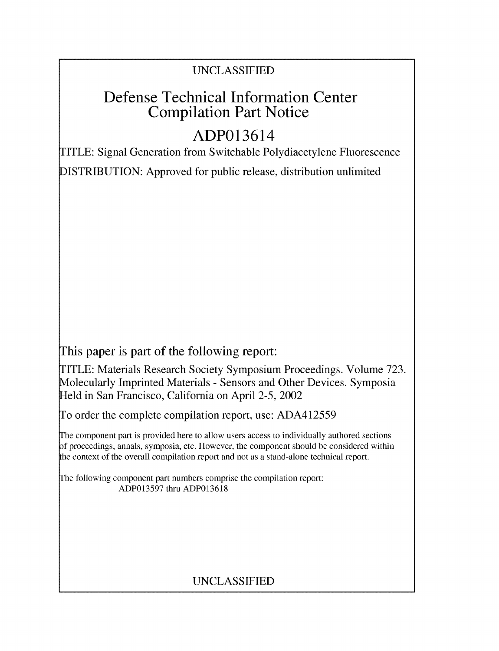# UNCLASSIFIED

# Defense Technical Information Center Compilation Part Notice

# ADP013614

TITLE: Signal Generation from Switchable Polydiacetylene Fluorescence

DISTRIBUTION: Approved for public release, distribution unlimited

This paper is part of the following report:

TITLE: Materials Research Society Symposium Proceedings. Volume 723. Molecularly Imprinted Materials - Sensors and Other Devices. Symposia Held in San Francisco, California on April 2-5, 2002

To order the complete compilation report, use: ADA412559

The component part is provided here to allow users access to individually authored sections **)f** proceedings, annals, symposia, etc. However, the component should be considered within [he context of the overall compilation report and not as a stand-alone technical report.

The following component part numbers comprise the compilation report: ADP013597 thru ADP013618

# UNCLASSIFIED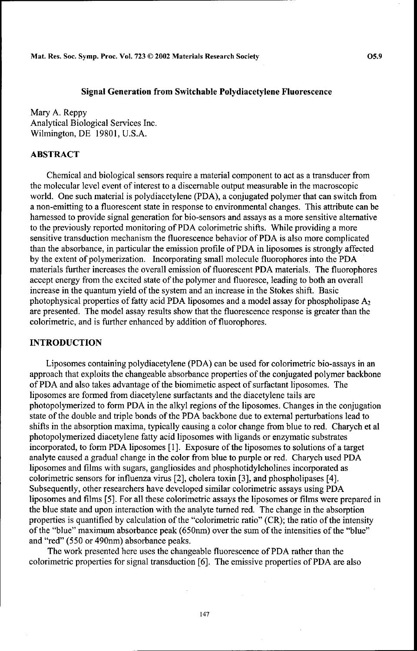#### Signal Generation from Switchable Polydiacetylene Fluorescence

Mary **A.** Reppy Analytical Biological Services Inc. Wilmington, DE 19801, U.S.A.

### ABSTRACT

Chemical and biological sensors require a material component to act as a transducer from the molecular level event of interest to a discernable output measurable in the macroscopic world. One such material is polydiacetylene (PDA), a conjugated polymer that can switch from a non-emitting to a fluorescent state in response to environmental changes. This attribute can be harnessed to provide signal generation for bio-sensors and assays as a more sensitive alternative to the previously reported monitoring of PDA colorimetric shifts. While providing a more sensitive transduction mechanism the fluorescence behavior of PDA is also more complicated than the absorbance, in particular the emission profile of PDA in liposomes is strongly affected by the extent of polymerization. Incorporating small molecule fluorophores into the PDA materials further increases the overall emission of fluorescent PDA materials. The fluorophores accept energy from the excited state of the polymer and fluoresce, leading to both an overall increase in the quantum yield of the system and an increase in the Stokes shift. Basic photophysical properties of fatty acid PDA liposomes and a model assay for phospholipase  $A_2$ are presented. The model assay results show that the fluorescence response is greater than the colorimetric, and is further enhanced by addition of fluorophores.

#### **INTRODUCTION**

Liposomes containing polydiacetylene (PDA) can be used for colorimetric bio-assays in an approach that exploits the changeable absorbance properties of the conjugated polymer backbone of PDA and also takes advantage of the biomimetic aspect of surfactant liposomes. The liposomes are formed from diacetylene surfactants and the diacetylene tails are photopolymerized to form PDA in the alkyl regions of the liposomes. Changes in the conjugation state of the double and triple bonds of the PDA backbone due to external perturbations lead to shifts in the absorption maxima, typically causing a color change from blue to red. Charych et al photopolymerized diacetylene fatty acid liposomes with ligands or enzymatic substrates incorporated, to form PDA liposomes [1]. Exposure of the liposomes to solutions of a target analyte caused a gradual change in the color from blue to purple or red. Charych used PDA liposomes and films with sugars, gangliosides and phosphotidylcholines incorporated as colorimetric sensors for influenza virus [2], cholera toxin [3], and phospholipases [4]. Subsequently, other researchers have developed similar colorimetric assays using PDA liposomes and films [5]. For all these colorimetric assays the liposomes or films were prepared in the blue state and upon interaction with the analyte turned red. The change in the absorption properties is quantified by calculation of the "colorimetric ratio" (CR); the ratio of the intensity of the "blue" maximum absorbance peak (650nm) over the sum of the intensities of the "blue" and "red" (550 or 490nm) absorbance peaks.

The work presented here uses the changeable fluorescence of PDA rather than the colorimetric properties for signal transduction [6]. The emissive properties of PDA are also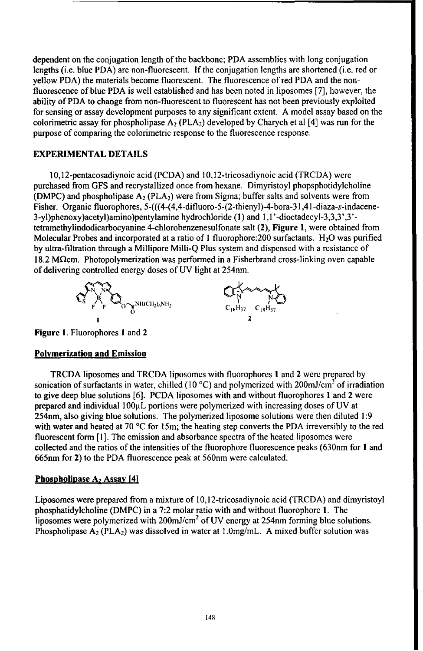dependent on the conjugation length of the backbone; PDA assemblies with long conjugation lengths (i.e. blue PDA) are non-fluorescent. If the conjugation lengths are shortened (i.e. red or yellow PDA) the materials become fluorescent. The fluorescence of red PDA and the nonfluorescence of blue PDA is well established and has been noted in liposomes [7], however, the ability of PDA to change from non-fluorescent to fluorescent has not been previously exploited for sensing or assay development purposes to any significant extent. A model assay based on the colorimetric assay for phospholipase  $A_2$  (PLA<sub>2</sub>) developed by Charych et al [4] was run for the purpose of comparing the colorimetric response to the fluorescence response.

### EXPERIMENTAL DETAILS

10,12-pentacosadiynoic acid (PCDA) and I10,12-tricosadiynoic acid (TRCDA) were purchased from GFS and recrystallized once from hexane. Dimyristoyl phopsphotidylcholine (DMPC) and phospholipase **A,** (PLA2) were from Sigma; buffer salts and solvents were from Fisher. Organic fluorophores, 5-(((4-(4,4-difluoro-5-(2-thienyl)-4-bora-31,41 -diaza-s-indacene-3-yl)phenoxy)acetyl)amino)pentylamine hydrochloride **(1)** and 1,1 '-dioctadecyl-3,3,3',3' tetramethylindodicarbocyanine 4-chlorobenzenesulfonate salt (2), Figure 1, were obtained from Molecular Probes and incorporated at a ratio of 1 fluorophore: 200 surfactants. H<sub>2</sub>O was purified by ultra-filtration through a Millipore Milli-Q Plus system and dispensed with a resistance of 18.2 M $\Omega$ cm. Photopolymerization was performed in a Fisherbrand cross-linking oven capable of delivering controlled energy doses of UV light at 254nm.



Figure **1.** Fluorophores **I** and 2

# Polymerization and Emission

TRCDA liposomes and TRCDA liposomes with fluorophores **I** and 2 were prepared by sonication of surfactants in water, chilled (10  $^{\circ}$ C) and polymerized with 200mJ/cm<sup>2</sup> of irradiation to give deep blue solutions [6]. PCDA liposomes with and without fluorophores 1 and 2 were prepared and individual 100 $\mu$ L portions were polymerized with increasing doses of UV at 254nm, also giving blue solutions. The polymerized liposome solutions were then diluted 1:9 with water and heated at 70 °C for 15m; the heating step converts the PDA irreversibly to the red fluorescent form  $[1]$ . The emission and absorbance spectra of the heated liposomes were collected and the ratios of the intensities of the fluorophore fluorescence peaks (630nm for **1** and 665nm for 2) to the PDA fluorescence peak at 560nm were calculated.

# Phospholipase A<sub>2</sub> Assay [4]

Liposomes were prepared from a mixture of 10,12-tricosadiynoic acid (TRCDA) and dimyristoyl phosphatidyleholine (DMPC) in a 7:2 molar ratio with and without fluorophore 1. The liposomes were polymerized with  $200 \text{mJ/cm}^2$  of UV energy at  $254 \text{nm}$  forming blue solutions. Phospholipase  $\overline{A_2}$  (PLA<sub>2</sub>) was dissolved in water at 1.0mg/mL. A mixed buffer solution was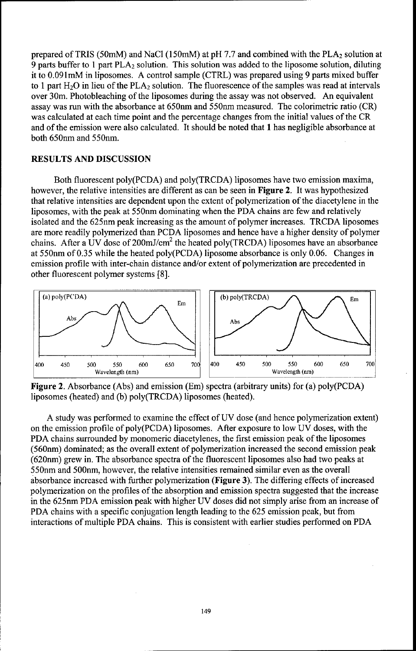prepared of TRIS (50mM) and NaCl (150mM) at pH 7.7 and combined with the  $PLA<sub>2</sub>$  solution at 9 parts buffer to 1 part PLA<sub>2</sub> solution. This solution was added to the liposome solution, diluting it to 0.091mM in liposomes. A control sample (CTRL) was prepared using 9 parts mixed buffer to 1 part  $H_2O$  in lieu of the PLA<sub>2</sub> solution. The fluorescence of the samples was read at intervals over 30m. Photobleaching of the liposomes during the assay was not observed. An equivalent assay was run with the absorbance at *650nm* and 550nm measured. The colorimetric ratio (CR) was calculated at each time point and the percentage changes from the initial values of the CR and of the emission were also calculated. It should be noted that **1** has negligible absorbance at both 650nm and 550nm.

### RESULTS AND DISCUSSION

Both fluorescent poly(PCDA) and poly(TRCDA) liposomes have two emission maxima, however, the relative intensities are different as can be seen in Figure 2. It was hypothesized that relative intensities are dependent upon the extent of polymerization of the diacetylene in the liposomes, with the peak at 550nm dominating when the PDA chains are few and relatively isolated and the 625nm peak increasing as the amount of polymer increases. TRCDA liposomes are more readily polymerized than PCDA liposomes and hence have a higher density of polymer chains. After a UV dose of  $200 \text{mJ/cm}^2$  the heated poly(TRCDA) liposomes have an absorbance at 550nm of 0.35 while the heated poly(PCDA) liposome absorbance is only 0.06. Changes in emission profile with inter-chain distance and/or extent of polymerization are precedented in other fluorescent polymer systems [8].



Figure 2. Absorbance (Abs) and emission (Em) spectra (arbitrary units) for (a) poly(PCDA) liposomes (heated) and (b) poly(TRCDA) liposomes (heated).

A study was performed to examine the effect of UV dose (and hence polymerization extent) on the emission profile of poly(PCDA) liposomes. After exposure to low UV doses, with the PDA chains surrounded by monomeric diacetylenes, the first emission peak of the liposomes (560nm) dominated; as the overall extent of polymerization increased the second emission peak (620nm) grew in. The absorbance spectra of the fluorescent liposomes also had two peaks at 550nm and 500nm, however, the relative intensities remained similar even as the overall absorbance increased with further polymerization (Figure **3).** The differing effects of increased polymerization on the profiles of the absorption and emission spectra suggested that the increase in the 625nm PDA emission peak with higher UV doses did not simply arise from an increase of PDA chains with a specific conjugation length leading to the 625 emission peak, but from interactions of multiple PDA chains. This is consistent with earlier studies performed on PDA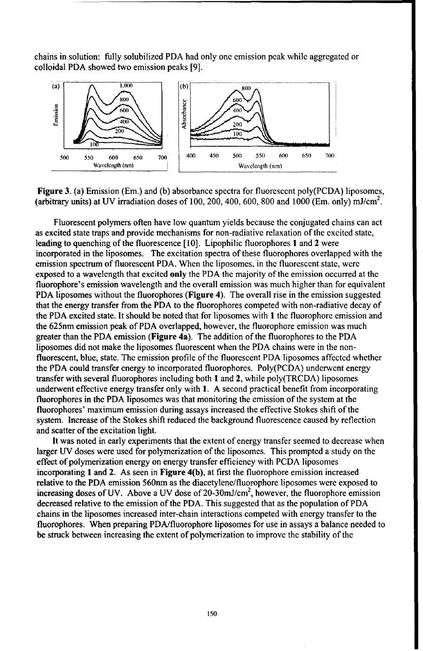chains in solution: fully solubilized PDA had only one emission peak while aggregated or colloidal PDA showed two emission peaks [9].



Figure 3. (a) Emission (Em.) and (b) absorbance spectra for fluorescent poly(PCDA) liposomes, (arbitrary units) at UV irradiation doses of 100, 200, 400, 600, 800 and 1000 (Em. only) mJ/cm<sup>2</sup>.

Fluorescent polymers often have low quantum yields because the conjugated chains can act as excited state traps and provide mechanisms for non-radiative relaxation of the excited state, leading to quenching of the fluorescence [10]. Lipophilic fluorophores **I** and 2 were incorporated in the liposomes. The excitation spectra of these fluorophores overlapped with the emission spectrum of fluorescent PDA. When the liposomcs, in the fluorescent state, were exposed to a wavelength that excited only the PDA the majority of the emission occurred at the fluorophore's emission wavelength and the overall emission was much higher than for equivalent PDA liposomes without the fluorophores (Figure 4). The overall rise in the emission suggested that the energy transfer from the PDA to the fluorophores competed with non-radiative decay of the PDA excited state. It should be noted that for liposomes with **I** the fluorophore emission and the 625nm emission peak of PDA overlapped, however, the fluorophore emission was much greater than the PDA emission (Figure 4a). The addition of the fluorophores to the PDA liposomes did not make the liposomes fluorescent when the PDA chains were in the nonfluorescent, blue, state. The emission profile of the fluorescent PDA liposomes affected whether the PDA could transfer energy to incorporated fluorophores. Poly(PCDA) underwent energy transfer with several fluorophores including both 1 and 2, while poly(TRCDA) liposomes underwent effective energy transfer only with 1. A second practical benefit from incorporating fluorophores in the PDA liposomes was that monitoring the emission of the system at the fluorophores' maximum emission during assays increased the effective Stokes shift of the system. Increase of the Stokes shift reduced the background fluorescence caused by reflection and scatter of the excitation light.

It was noted in early experiments that the extent of energy transfer seemed to decrease when larger UV doses were used for polymerization of the liposomes. This prompted a study on the effect of polymerization energy on energy transfer efficiency with PCDA liposomes incorporating **1** and 2. As seen in Figure 4(b), at first the fluorophore emission increased relative to the PDA emission 560nm as the diacetylene/fluorophore liposomes were exposed to increasing doses of UV. Above a UV dose of 20-30mJ/cm<sup>2</sup>, however, the fluorophore emission decreased relative to the emission of the PDA. This suggested that as the population of PDA chains in the liposomes increased inter-chain interactions competed with energy transfer to the fluorophores. When preparing PDA/fluorophore liposomes for use in assays a balance needed to be struck between increasing the extent of polymerization to improve the stability of the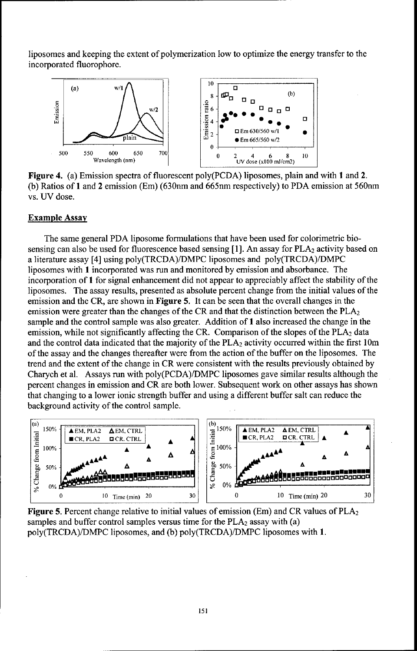liposomes and keeping the extent of polymerization low to optimize the energy transfer to the incorporated fluorophore.



Figure 4. (a) Emission spectra of fluorescent poly(PCDA) liposomes, plain and with **I** and 2. (b) Ratios of **I** and 2 emission (Em) (630nm and 665nm respectively) to PDA emission at 560nm vs. UV dose.

#### Example Assay

The same general PDA liposome formulations that have been used for colorimetric biosensing can also be used for fluorescence based sensing [1]. An assay for  $PLA<sub>2</sub>$  activity based on a literature assay [4] using poly(TRCDA)/DMPC liposomes and poly(TRCDA)/DMPC liposomes with 1 incorporated was run and monitored by emission and absorbance. The incorporation of t for signal enhancement did not appear to appreciably affect the stability of the liposomes. The assay results, presented as absolute percent change from the initial values of the emission and the CR, are shown in Figure 5. It can be seen that the overall changes in the emission were greater than the changes of the CR and that the distinction between the  $PLA_2$ sample and the control sample was also greater. Addition of **I** also increased the change in the emission, while not significantly affecting the CR. Comparison of the slopes of the  $PLA_2$  data and the control data indicated that the majority of the  $PLA<sub>2</sub>$  activity occurred within the first 10m of the assay and the changes thereafter were from the action of the buffer on the liposomes. The trend and the extent of the change in CR were consistent with the results previously obtained by Charych et al. Assays run with poly(PCDA)/DMPC liposomes gave similar results although the percent changes in emission and CR are both lower. Subsequent work on other assays has shown that changing to a lower ionic strength buffer and using a different buffer salt can reduce the background activity of the control sample.



Figure 5. Percent change relative to initial values of emission (Em) and CR values of  $PLA_2$ samples and buffer control samples versus time for the  $PLA_2$  assay with (a) poly(TRCDA)/DMPC liposomes, and (b) poly(TRCDA)/DMPC liposomes with 1.